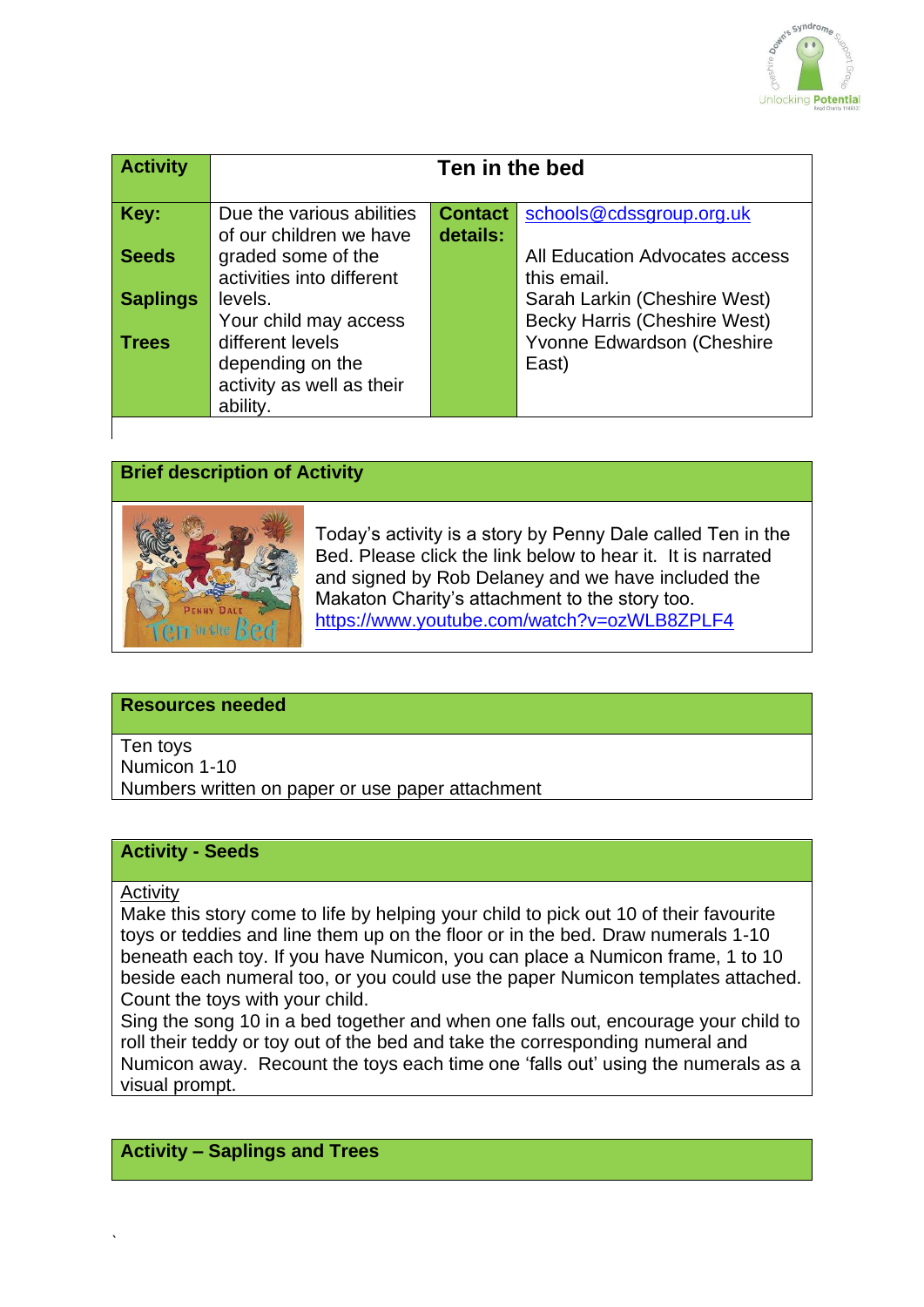

| <b>Activity</b> | Ten in the bed                                  |                |                                                                   |
|-----------------|-------------------------------------------------|----------------|-------------------------------------------------------------------|
| Key:            | Due the various abilities                       | <b>Contact</b> | schools@cdssgroup.org.uk                                          |
| <b>Seeds</b>    | of our children we have                         | details:       | All Education Advocates access                                    |
|                 | graded some of the<br>activities into different |                | this email.                                                       |
| <b>Saplings</b> | levels.                                         |                | Sarah Larkin (Cheshire West)                                      |
| <b>Trees</b>    | Your child may access<br>different levels       |                | <b>Becky Harris (Cheshire West)</b><br>Yvonne Edwardson (Cheshire |
|                 | depending on the                                |                | East)                                                             |
|                 | activity as well as their<br>ability.           |                |                                                                   |
|                 |                                                 |                |                                                                   |

# **Brief description of Activity**



Today's activity is a story by Penny Dale called Ten in the Bed. Please click the link below to hear it. It is narrated and signed by Rob Delaney and we have included the Makaton Charity's attachment to the story too. <https://www.youtube.com/watch?v=ozWLB8ZPLF4>

## **Resources needed**

Ten toys Numicon 1-10 Numbers written on paper or use paper attachment

## **Activity - Seeds**

#### **Activity**

`

Make this story come to life by helping your child to pick out 10 of their favourite toys or teddies and line them up on the floor or in the bed. Draw numerals 1-10 beneath each toy. If you have Numicon, you can place a Numicon frame, 1 to 10 beside each numeral too, or you could use the paper Numicon templates attached. Count the toys with your child.

Sing the song 10 in a bed together and when one falls out, encourage your child to roll their teddy or toy out of the bed and take the corresponding numeral and Numicon away. Recount the toys each time one 'falls out' using the numerals as a visual prompt.

# **Activity – Saplings and Trees**